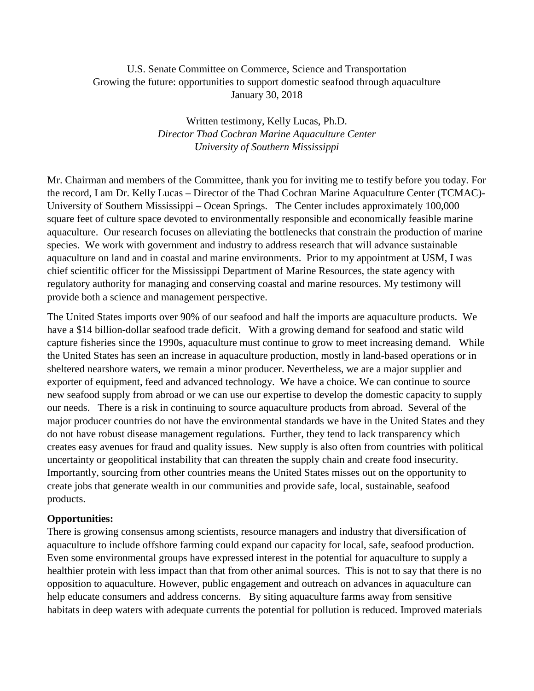## U.S. Senate Committee on Commerce, Science and Transportation Growing the future: opportunities to support domestic seafood through aquaculture January 30, 2018

Written testimony, Kelly Lucas, Ph.D. *Director Thad Cochran Marine Aquaculture Center University of Southern Mississippi*

Mr. Chairman and members of the Committee, thank you for inviting me to testify before you today. For the record, I am Dr. Kelly Lucas – Director of the Thad Cochran Marine Aquaculture Center (TCMAC)- University of Southern Mississippi – Ocean Springs. The Center includes approximately 100,000 square feet of culture space devoted to environmentally responsible and economically feasible marine aquaculture. Our research focuses on alleviating the bottlenecks that constrain the production of marine species. We work with government and industry to address research that will advance sustainable aquaculture on land and in coastal and marine environments. Prior to my appointment at USM, I was chief scientific officer for the Mississippi Department of Marine Resources, the state agency with regulatory authority for managing and conserving coastal and marine resources. My testimony will provide both a science and management perspective.

The United States imports over 90% of our seafood and half the imports are aquaculture products. We have a \$14 billion-dollar seafood trade deficit. With a growing demand for seafood and static wild capture fisheries since the 1990s, aquaculture must continue to grow to meet increasing demand. While the United States has seen an increase in aquaculture production, mostly in land-based operations or in sheltered nearshore waters, we remain a minor producer. Nevertheless, we are a major supplier and exporter of equipment, feed and advanced technology. We have a choice. We can continue to source new seafood supply from abroad or we can use our expertise to develop the domestic capacity to supply our needs. There is a risk in continuing to source aquaculture products from abroad. Several of the major producer countries do not have the environmental standards we have in the United States and they do not have robust disease management regulations. Further, they tend to lack transparency which creates easy avenues for fraud and quality issues. New supply is also often from countries with political uncertainty or geopolitical instability that can threaten the supply chain and create food insecurity. Importantly, sourcing from other countries means the United States misses out on the opportunity to create jobs that generate wealth in our communities and provide safe, local, sustainable, seafood products.

## **Opportunities:**

There is growing consensus among scientists, resource managers and industry that diversification of aquaculture to include offshore farming could expand our capacity for local, safe, seafood production. Even some environmental groups have expressed interest in the potential for aquaculture to supply a healthier protein with less impact than that from other animal sources. This is not to say that there is no opposition to aquaculture. However, public engagement and outreach on advances in aquaculture can help educate consumers and address concerns. By siting aquaculture farms away from sensitive habitats in deep waters with adequate currents the potential for pollution is reduced. Improved materials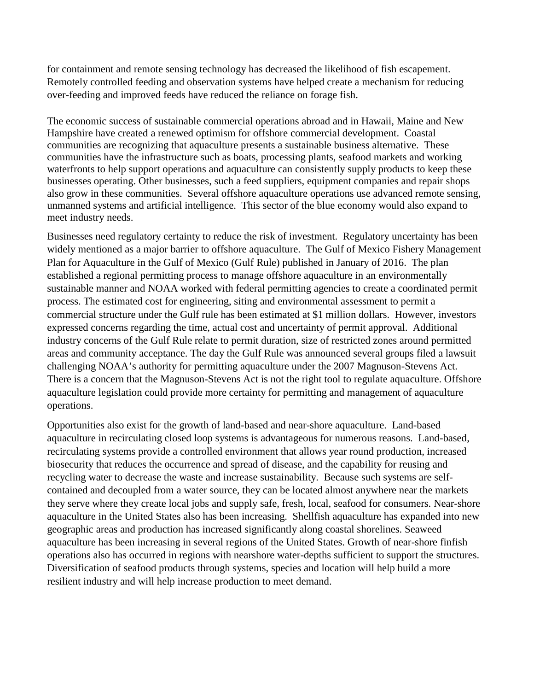for containment and remote sensing technology has decreased the likelihood of fish escapement. Remotely controlled feeding and observation systems have helped create a mechanism for reducing over-feeding and improved feeds have reduced the reliance on forage fish.

The economic success of sustainable commercial operations abroad and in Hawaii, Maine and New Hampshire have created a renewed optimism for offshore commercial development. Coastal communities are recognizing that aquaculture presents a sustainable business alternative. These communities have the infrastructure such as boats, processing plants, seafood markets and working waterfronts to help support operations and aquaculture can consistently supply products to keep these businesses operating. Other businesses, such a feed suppliers, equipment companies and repair shops also grow in these communities. Several offshore aquaculture operations use advanced remote sensing, unmanned systems and artificial intelligence. This sector of the blue economy would also expand to meet industry needs.

Businesses need regulatory certainty to reduce the risk of investment. Regulatory uncertainty has been widely mentioned as a major barrier to offshore aquaculture. The Gulf of Mexico Fishery Management Plan for Aquaculture in the Gulf of Mexico (Gulf Rule) published in January of 2016. The plan established a regional permitting process to manage offshore aquaculture in an environmentally sustainable manner and NOAA worked with federal permitting agencies to create a coordinated permit process. The estimated cost for engineering, siting and environmental assessment to permit a commercial structure under the Gulf rule has been estimated at \$1 million dollars. However, investors expressed concerns regarding the time, actual cost and uncertainty of permit approval. Additional industry concerns of the Gulf Rule relate to permit duration, size of restricted zones around permitted areas and community acceptance. The day the Gulf Rule was announced several groups filed a lawsuit challenging NOAA's authority for permitting aquaculture under the 2007 Magnuson-Stevens Act. There is a concern that the Magnuson-Stevens Act is not the right tool to regulate aquaculture. Offshore aquaculture legislation could provide more certainty for permitting and management of aquaculture operations.

Opportunities also exist for the growth of land-based and near-shore aquaculture. Land-based aquaculture in recirculating closed loop systems is advantageous for numerous reasons. Land-based, recirculating systems provide a controlled environment that allows year round production, increased biosecurity that reduces the occurrence and spread of disease, and the capability for reusing and recycling water to decrease the waste and increase sustainability. Because such systems are selfcontained and decoupled from a water source, they can be located almost anywhere near the markets they serve where they create local jobs and supply safe, fresh, local, seafood for consumers. Near-shore aquaculture in the United States also has been increasing. Shellfish aquaculture has expanded into new geographic areas and production has increased significantly along coastal shorelines. Seaweed aquaculture has been increasing in several regions of the United States. Growth of near-shore finfish operations also has occurred in regions with nearshore water-depths sufficient to support the structures. Diversification of seafood products through systems, species and location will help build a more resilient industry and will help increase production to meet demand.